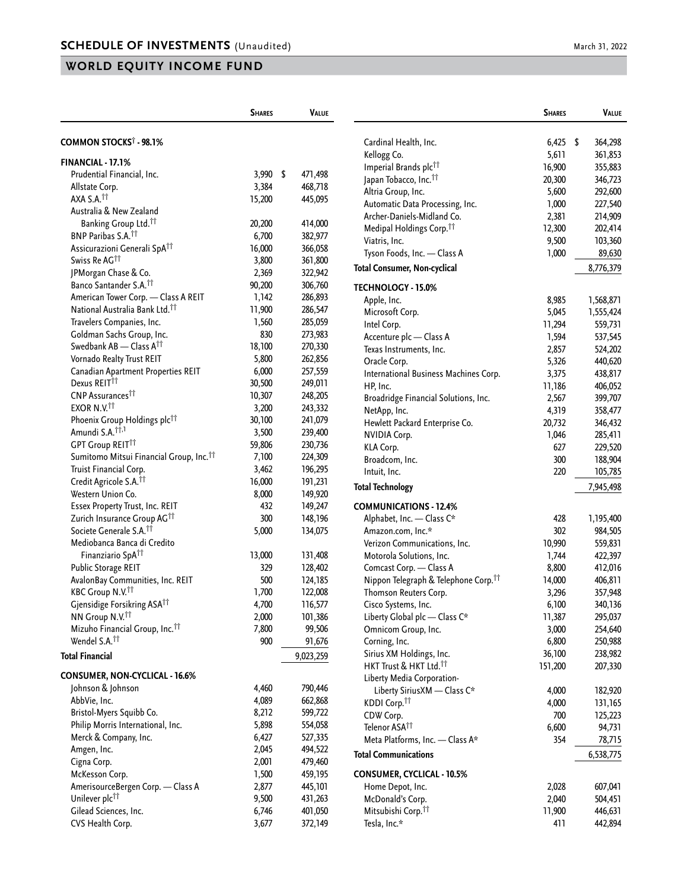## **WORLD EQUITY INCOME FUND**

|                                                     | <b>SHARES</b> | <b>VALUE</b>  |              |
|-----------------------------------------------------|---------------|---------------|--------------|
| COMMON STOCKS <sup>†</sup> - 98.1%                  |               |               | Ca           |
| <b>FINANCIAL - 17.1%</b>                            |               |               | Кe<br>Im     |
| Prudential Financial, Inc.                          | 3,990         | \$<br>471,498 | Jap          |
| Allstate Corp.                                      | 3,384         | 468,718       | Alt          |
| AXA S.A. <sup>11</sup>                              | 15,200        | 445,095       | Au           |
| Australia & New Zealand                             |               |               | Ar           |
| Banking Group Ltd. <sup>11</sup>                    | 20,200        | 414,000       | M            |
| BNP Paribas S.A. <sup>11</sup>                      | 6,700         | 382,977       | Via          |
| Assicurazioni Generali SpA <sup>††</sup>            | 16,000        | 366,058       | Ty           |
| Swiss Re AG <sup>11</sup>                           | 3,800         | 361,800       |              |
| JPMorgan Chase & Co.                                | 2,369         | 322,942       | Total        |
| Banco Santander S.A. <sup>††</sup>                  | 90,200        | 306,760       | TECH         |
| American Tower Corp. - Class A REIT                 | 1,142         | 286,893       | Ap           |
| National Australia Bank Ltd. <sup>11</sup>          | 11,900        | 286,547       | Mi           |
| Travelers Companies, Inc.                           | 1,560         | 285,059       | Int          |
| Goldman Sachs Group, Inc.                           | 830           | 273,983       | Ac           |
| Swedbank AB - Class A <sup>††</sup>                 | 18,100        | 270,330       | Te:          |
| Vornado Realty Trust REIT                           | 5,800         | 262,856       | Or           |
| Canadian Apartment Properties REIT                  | 6,000         | 257,559       | Int          |
| Dexus REIT <sup>11</sup>                            | 30,500        | 249,011       | HI           |
| CNP Assurances <sup>††</sup>                        | 10,307        | 248,205       | Br           |
| EXOR N.V. <sup>††</sup>                             | 3,200         | 243,332       | Nε           |
| Phoenix Group Holdings plc <sup>††</sup>            | 30,100        | 241,079       | Hε           |
| Amundi S.A. <sup>††,1</sup>                         | 3,500         | 239,400       | Ν١           |
| <b>GPT Group REIT11</b>                             | 59,806        | 230,736       | ΚL           |
| Sumitomo Mitsui Financial Group, Inc. <sup>11</sup> | 7,100         | 224,309       | Br           |
| Truist Financial Corp.                              | 3,462         | 196,295       | Int          |
| Credit Agricole S.A. <sup>11</sup>                  | 16,000        | 191,231       | <b>Total</b> |
| Western Union Co.                                   | 8,000         | 149,920       |              |
| Essex Property Trust, Inc. REIT                     | 432           | 149,247       | <b>COM</b>   |
| Zurich Insurance Group AG <sup>††</sup>             | 300           | 148,196       | ۸l           |
| Societe Generale S.A. <sup>11</sup>                 | 5,000         | 134,075       | An           |
| Mediobanca Banca di Credito                         |               |               | Ve           |
| Finanziario SpA <sup>††</sup>                       | 13,000        | 131,408       | M            |
| Public Storage REIT                                 | 329           | 128,402       | Cо           |
| AvalonBay Communities, Inc. REIT                    | 500           | 124,185       | Ni           |
| KBC Group N.V. <sup>11</sup>                        | 1,700         | 122,008       | Th           |
| Gjensidige Forsikring ASA <sup>TT</sup>             | 4,700         | 116,577       | Ci:          |
| NN Group N.V. <sup>††</sup>                         | 2,000         | 101,386       | Lit          |
| Mizuho Financial Group, Inc. <sup>11</sup>          | 7,800         | 99,506        | Or           |
| Wendel S.A. <sup>11</sup>                           | 900           | 91,676        | Cо           |
| <b>Total Financial</b>                              |               | 9,023,259     | Sir          |
| CONSUMER, NON-CYCLICAL - 16.6%                      |               |               | Hł           |
| Johnson & Johnson                                   | 4,460         | 790,446       | Lit          |
| AbbVie, Inc.                                        | 4,089         | 662,868       |              |
| Bristol-Myers Squibb Co.                            | 8,212         | 599,722       | KС           |
| Philip Morris International, Inc.                   | 5,898         | 554,058       | СC           |
| Merck & Company, Inc.                               | 6,427         | 527,335       | Tel          |
| Amgen, Inc.                                         | 2,045         | 494,522       | M            |
| Cigna Corp.                                         | 2,001         | 479,460       | Total        |
| McKesson Corp.                                      | 1,500         | 459,195       | CON:         |
| AmerisourceBergen Corp. - Class A                   | 2,877         | 445,101       | H            |
| Unilever plc <sup>11</sup>                          | 9,500         | 431,263       | M            |
| Gilead Sciences, Inc.                               | 6,746         | 401,050       | Mi           |
| CVS Health Corp.                                    | 3,677         | 372,149       | Te:          |
|                                                     |               |               |              |

|                                                  | <b>SHARES</b> | <b>VALUE</b>  |
|--------------------------------------------------|---------------|---------------|
| Cardinal Health, Inc.                            | 6,425         | \$<br>364,298 |
| Kellogg Co.                                      | 5,611         | 361,853       |
| Imperial Brands plc <sup>11</sup>                | 16,900        | 355,883       |
| Japan Tobacco, Inc. <sup>††</sup>                | 20,300        | 346,723       |
| Altria Group, Inc.                               | 5,600         | 292,600       |
| Automatic Data Processing, Inc.                  | 1,000         | 227,540       |
| Archer-Daniels-Midland Co.                       | 2,381         | 214,909       |
| Medipal Holdings Corp. <sup>11</sup>             | 12,300        | 202,414       |
| Viatris, Inc.                                    | 9,500         | 103,360       |
| Tyson Foods, Inc. — Class A                      | 1,000         | 89,630        |
| Total Consumer, Non-cyclical                     |               | 8,776,379     |
| TECHNOLOGY - 15.0%                               |               |               |
| Apple, Inc.                                      | 8,985         | 1,568,871     |
| Microsoft Corp.                                  | 5,045         | 1,555,424     |
| Intel Corp.                                      | 11,294        | 559,731       |
| Accenture plc - Class A                          | 1,594         | 537,545       |
| Texas Instruments, Inc.                          | 2,857         | 524,202       |
| Oracle Corp.                                     | 5,326         | 440,620       |
| International Business Machines Corp.            | 3,375         | 438,817       |
| HP, Inc.                                         | 11,186        | 406,052       |
| Broadridge Financial Solutions, Inc.             | 2,567         | 399,707       |
| NetApp, Inc.                                     | 4,319         | 358,477       |
| Hewlett Packard Enterprise Co.                   | 20,732        | 346,432       |
| NVIDIA Corp.                                     | 1,046         | 285,411       |
| KLA Corp.                                        | 627           | 229,520       |
| Broadcom, Inc.                                   | 300           | 188,904       |
| Intuit, Inc.                                     | 220           | 105,785       |
| Total Technology                                 |               | 7,945,498     |
| COMMUNICATIONS - 12.4%                           |               |               |
| Alphabet, Inc. - Class C*                        | 428           | 1,195,400     |
| Amazon.com, Inc.*                                | 302           | 984,505       |
| Verizon Communications, Inc.                     | 10,990        | 559,831       |
| Motorola Solutions, Inc.                         | 1,744         | 422,397       |
| Comcast Corp. - Class A                          | 8,800         | 412,016       |
| Nippon Telegraph & Telephone Corp. <sup>††</sup> | 14,000        | 406,811       |
| Thomson Reuters Corp.                            | 3,296         | 357,948       |
| Cisco Systems, Inc.                              | 6,100         | 340,136       |
| Liberty Global plc - Class C*                    | 11,387        | 295,037       |
| Omnicom Group, Inc.                              | 3,000         | 254,640       |
| Corning, Inc.                                    | 6,800         | 250,988       |
| Sirius XM Holdings, Inc.                         | 36,100        | 238,982       |
| HKT Trust & HKT Ltd. <sup>††</sup>               | 151,200       | 207,330       |
| Liberty Media Corporation-                       |               |               |
| Liberty SiriusXM - Class C*                      | 4,000         | 182,920       |
| KDDI Corp. <sup>11</sup>                         | 4,000         | 131,165       |
| CDW Corp.                                        | 700           | 125,223       |
| Telenor ASA <sup>tt</sup>                        | 6,600         | 94,731        |
| Meta Platforms, Inc. - Class A*                  | 354           | 78,715        |
| <b>Total Communications</b>                      |               | 6,538,775     |
| CONSUMER, CYCLICAL - 10.5%                       |               |               |
| Home Depot, Inc.                                 | 2,028         | 607,041       |
| McDonald's Corp.                                 | 2,040         | 504,451       |
| Mitsubishi Corp. <sup>††</sup>                   | 11,900        | 446,631       |
| Tesla, Inc.*                                     | 411           | 442,894       |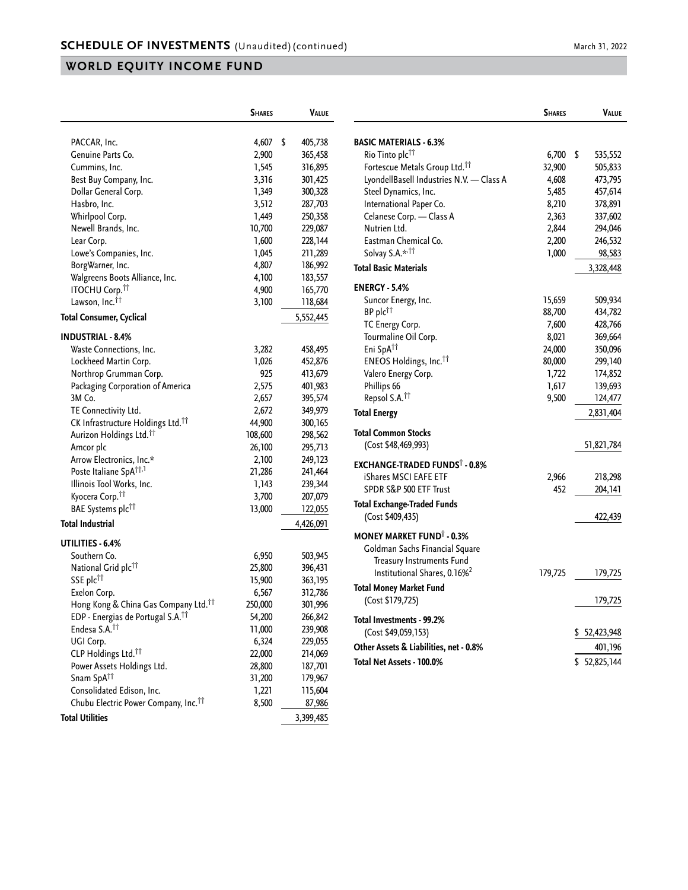## **WORLD EQUITY INCOME FUND**

|                                                     | <b>SHARES</b> | VALUE              |
|-----------------------------------------------------|---------------|--------------------|
|                                                     |               |                    |
| PACCAR, Inc.                                        | 4,607         | \$<br>405,738      |
| Genuine Parts Co.                                   | 2,900         | 365,458            |
| Cummins, Inc.                                       | 1,545         | 316,895            |
| Best Buy Company, Inc.                              | 3,316         | 301,425            |
| Dollar General Corp.                                | 1,349         | 300,328            |
| Hasbro, Inc.                                        | 3,512         | 287,703            |
| Whirlpool Corp.                                     | 1,449         | 250,358            |
| Newell Brands, Inc.                                 | 10,700        | 229,087            |
| Lear Corp.                                          | 1,600         | 228,144            |
| Lowe's Companies, Inc.                              | 1,045         | 211,289            |
| BorgWarner, Inc.                                    | 4,807         | 186,992            |
| Walgreens Boots Alliance, Inc.                      | 4,100         | 183,557            |
| <b>ITOCHU Corp.<sup>††</sup></b>                    | 4,900         | 165,770            |
| Lawson, Inc. <sup>11</sup>                          | 3,100         | 118,684            |
| Total Consumer, Cyclical                            |               | 5,552,445          |
|                                                     |               |                    |
| <b>INDUSTRIAL - 8.4%</b><br>Waste Connections, Inc. | 3,282         | 458,495            |
| Lockheed Martin Corp.                               | 1,026         | 452,876            |
|                                                     | 925           |                    |
| Northrop Grumman Corp.                              | 2,575         | 413,679<br>401,983 |
| Packaging Corporation of America                    |               |                    |
| 3M Co.                                              | 2,657         | 395,574            |
| TE Connectivity Ltd.                                | 2,672         | 349,979            |
| CK Infrastructure Holdings Ltd. <sup>11</sup>       | 44,900        | 300,165            |
| Aurizon Holdings Ltd. <sup>11</sup>                 | 108,600       | 298,562            |
| Amcor plc                                           | 26,100        | 295,713            |
| Arrow Electronics, Inc.*                            | 2,100         | 249,123            |
| Poste Italiane SpA <sup>††,1</sup>                  | 21,286        | 241,464            |
| Illinois Tool Works, Inc.                           | 1,143         | 239,344            |
| Kyocera Corp. <sup>11</sup>                         | 3,700         | 207,079            |
| BAE Systems plc <sup>††</sup>                       | 13,000        | 122,055            |
| Total Industrial                                    |               | 4,426,091          |
| UTILITIES - 6.4%                                    |               |                    |
| Southern Co.                                        | 6,950         | 503,945            |
| National Grid plc <sup>††</sup>                     | 25,800        | 396,431            |
| SSE plc <sup>11</sup>                               | 15,900        | 363,195            |
| Exelon Corp.                                        | 6,567         | 312,786            |
| Hong Kong & China Gas Company Ltd. <sup>††</sup>    | 250,000       | 301,996            |
| EDP - Energias de Portugal S.A. <sup>11</sup>       | 54,200        | 266,842            |
| Endesa S.A. <sup>11</sup>                           | 11,000        | 239,908            |
| UGI Corp.                                           | 6,324         | 229,055            |
| CLP Holdings Ltd. <sup>11</sup>                     | 22,000        | 214,069            |
| Power Assets Holdings Ltd.                          | 28,800        | 187,701            |
| Snam SpA <sup>††</sup>                              | 31,200        | 179,967            |
| Consolidated Edison, Inc.                           | 1,221         | 115,604            |
| Chubu Electric Power Company, Inc. <sup>11</sup>    | 8,500         | 87,986             |
| <b>Total Utilities</b>                              |               | 3,399,485          |
|                                                     |               |                    |

|                                                  | <b>SHARES</b> | <b>VALUE</b>    |
|--------------------------------------------------|---------------|-----------------|
| <b>BASIC MATERIALS - 6.3%</b>                    |               |                 |
| Rio Tinto plc <sup>11</sup>                      | 6,700         | \$<br>535,552   |
| Fortescue Metals Group Ltd. <sup>11</sup>        | 32,900        | 505,833         |
| LyondellBasell Industries N.V. - Class A         | 4,608         | 473,795         |
| Steel Dynamics, Inc.                             | 5,485         | 457,614         |
| International Paper Co.                          | 8,210         | 378,891         |
| Celanese Corp. - Class A                         | 2,363         | 337,602         |
| Nutrien Ltd.                                     | 2,844         | 294,046         |
| Eastman Chemical Co.                             | 2,200         | 246,532         |
| Solvay S.A.* <sup>,††</sup>                      | 1,000         | 98,583          |
| <b>Total Basic Materials</b>                     |               | 3,328,448       |
| <b>ENERGY - 5.4%</b>                             |               |                 |
| Suncor Energy, Inc.                              | 15,659        | 509,934         |
| BP plc <sup>11</sup>                             | 88,700        | 434,782         |
| TC Energy Corp.                                  | 7,600         | 428,766         |
| Tourmaline Oil Corp.                             | 8,021         | 369,664         |
| Eni SpA <sup>tt</sup>                            | 24,000        | 350,096         |
| ENEOS Holdings, Inc. <sup>11</sup>               | 80,000        | 299,140         |
| Valero Energy Corp.                              | 1,722         | 174,852         |
| Phillips 66                                      | 1,617         | 139,693         |
| Repsol S.A. <sup>11</sup>                        | 9,500         | 124,477         |
| <b>Total Energy</b>                              |               | 2,831,404       |
| <b>Total Common Stocks</b>                       |               |                 |
| (Cost \$48,469,993)                              |               | 51,821,784      |
| <b>EXCHANGE-TRADED FUNDS</b> <sup>†</sup> - 0.8% |               |                 |
| iShares MSCI EAFE ETF                            | 2,966         | 218,298         |
| SPDR S&P 500 ETF Trust                           | 452           | 204,141         |
| <b>Total Exchange-Traded Funds</b>               |               |                 |
| (Cost \$409,435)                                 |               | 422,439         |
| <b>MONEY MARKET FUND<sup>†</sup> - 0.3%</b>      |               |                 |
| Goldman Sachs Financial Square                   |               |                 |
| Treasury Instruments Fund                        |               |                 |
| Institutional Shares, 0.16% <sup>2</sup>         | 179,725       | 179,725         |
| <b>Total Money Market Fund</b>                   |               |                 |
| (Cost \$179,725)                                 |               | 179,725         |
| Total Investments - 99.2%                        |               |                 |
| (Cost \$49,059,153)                              |               | 52,423,948<br>S |
| Other Assets & Liabilities, net - 0.8%           |               | 401,196         |
| Total Net Assets - 100.0%                        |               | \$52,825,144    |
|                                                  |               |                 |